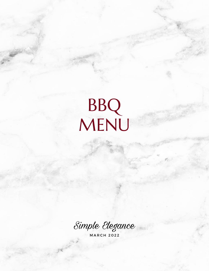# BBQ MENU

Simple Elegance

**MARCH 2022**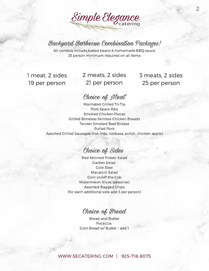# Simple Elegance

## Backyard Barbecue Combination Packages!

All combos include baked beans & homemade BBQ sauce 25 person minimum required on all items

1 meat, 2 sides 19 per person

### 2 meats, 2 sides 21 per person

3 meats, 2 sides 25 per person

#### Choice of Meat

Marinated Grilled Tri-Tip Pork Spare Ribs Smoked Chicken Pieces Grilled Boneless Skinless Chicken Breasts Tender Smoked Beef Brisket Pulled Pork Assorted Grilled Sausages (hot links, kielbasa, polish, chicken apple)

### Choice of Sides

Red Skinned Potato Salad Garden Salad Cole Slaw Macaroni Salad Corn on/off the Cob Watermelon Slices (seasonal) Assorted Bagged Chips (for each additional side add 3 per person)

### Choice of Bread

Bread and Butter Focaccia Corn Bread w/ Butter - add 1

#### [WWW.SECATERING.COM](http://www.secatering.com/) | 925-718-8075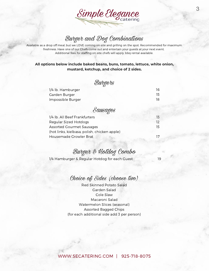

## Burger and Dog Combinations

Available as a drop off meal, but we LOVE coming on-site and grilling on the spot. Recommended for maximum freshness. Have one of our Chefs come out and entertain your guests at your next event. Additional fees for staffing on-site chefs will apply, bbq rental available.

**All options below include baked beans, buns, tomato, lettuce, white onion, mustard, ketchup, and choice of 2 sides.**

### **Burgers**

| 1/4 lb. Hamburger | 16  |
|-------------------|-----|
| Garden Burger     | 15. |
| Impossible Burger | 18. |



| 1/4 lb. All Beef Frankfurters                |     |
|----------------------------------------------|-----|
| <b>Regular Sized Hotdogs</b>                 |     |
| <b>Assorted Gourmet Sausages</b>             | 15. |
| (hot links, kielbasa, polish, chicken apple) |     |
| Housemade Growler Brat                       |     |

#### Burger & Hotdog Combo

19

1/4 Hamburger & Regular Hotdog for each Guest

#### Choice of Sides (choose two)

Red Skinned Potato Salad Garden Salad Cole Slaw Macaroni Salad Watermelon Slices (seasonal) Assorted Bagged Chips (for each additional side add 3 per person)